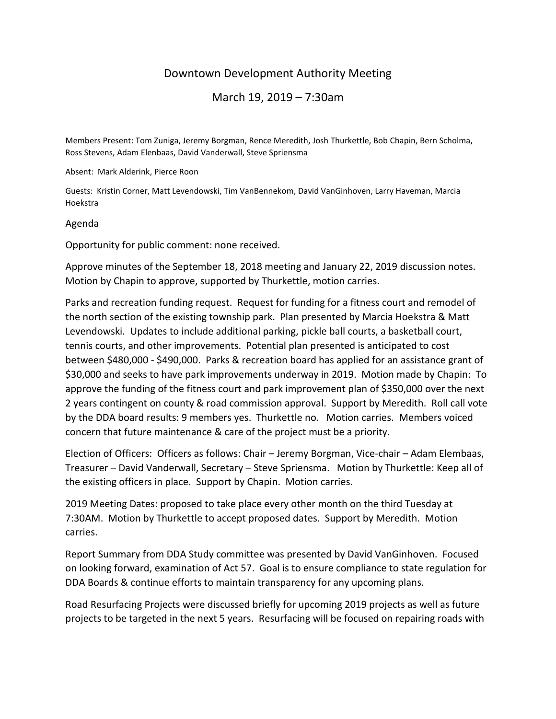## Downtown Development Authority Meeting

March 19, 2019 – 7:30am

Members Present: Tom Zuniga, Jeremy Borgman, Rence Meredith, Josh Thurkettle, Bob Chapin, Bern Scholma, Ross Stevens, Adam Elenbaas, David Vanderwall, Steve Spriensma

Absent: Mark Alderink, Pierce Roon

Guests: Kristin Corner, Matt Levendowski, Tim VanBennekom, David VanGinhoven, Larry Haveman, Marcia Hoekstra

## Agenda

Opportunity for public comment: none received.

Approve minutes of the September 18, 2018 meeting and January 22, 2019 discussion notes. Motion by Chapin to approve, supported by Thurkettle, motion carries.

Parks and recreation funding request. Request for funding for a fitness court and remodel of the north section of the existing township park. Plan presented by Marcia Hoekstra & Matt Levendowski. Updates to include additional parking, pickle ball courts, a basketball court, tennis courts, and other improvements. Potential plan presented is anticipated to cost between \$480,000 - \$490,000. Parks & recreation board has applied for an assistance grant of \$30,000 and seeks to have park improvements underway in 2019. Motion made by Chapin: To approve the funding of the fitness court and park improvement plan of \$350,000 over the next 2 years contingent on county & road commission approval. Support by Meredith. Roll call vote by the DDA board results: 9 members yes. Thurkettle no. Motion carries. Members voiced concern that future maintenance & care of the project must be a priority.

Election of Officers: Officers as follows: Chair – Jeremy Borgman, Vice-chair – Adam Elembaas, Treasurer – David Vanderwall, Secretary – Steve Spriensma. Motion by Thurkettle: Keep all of the existing officers in place. Support by Chapin. Motion carries.

2019 Meeting Dates: proposed to take place every other month on the third Tuesday at 7:30AM. Motion by Thurkettle to accept proposed dates. Support by Meredith. Motion carries.

Report Summary from DDA Study committee was presented by David VanGinhoven. Focused on looking forward, examination of Act 57. Goal is to ensure compliance to state regulation for DDA Boards & continue efforts to maintain transparency for any upcoming plans.

Road Resurfacing Projects were discussed briefly for upcoming 2019 projects as well as future projects to be targeted in the next 5 years. Resurfacing will be focused on repairing roads with